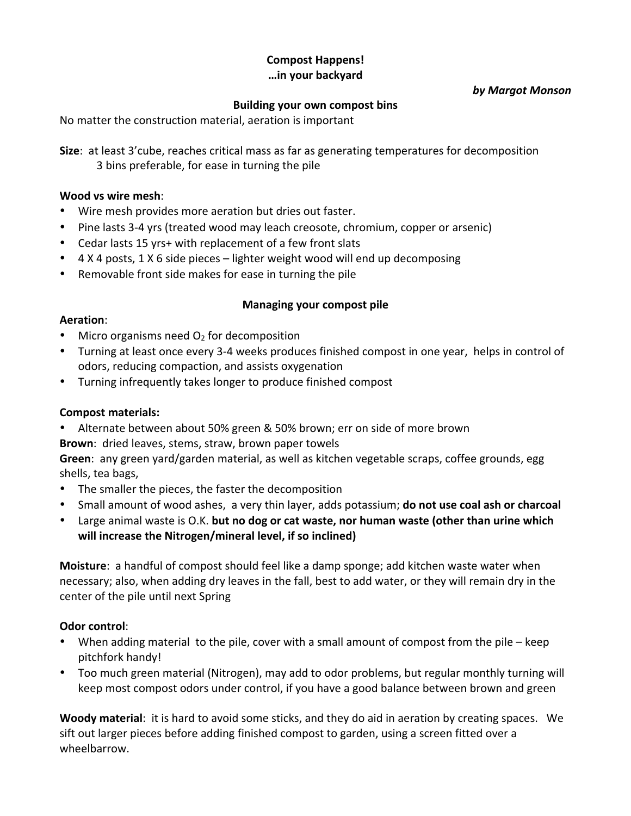# **Compost Happens! …in your backyard**

#### *by Margot Monson*

## **Building your own compost bins**

No matter the construction material, aeration is important

**Size:** at least 3'cube, reaches critical mass as far as generating temperatures for decomposition 3 bins preferable, for ease in turning the pile

### **Wood vs wire mesh**:

- Wire mesh provides more aeration but dries out faster.
- Pine lasts 3-4 yrs (treated wood may leach creosote, chromium, copper or arsenic)
- Cedar lasts 15 yrs+ with replacement of a few front slats
- 4 X 4 posts, 1 X 6 side pieces lighter weight wood will end up decomposing
- Removable front side makes for ease in turning the pile

## **Managing your compost pile**

#### **Aeration**:

- Micro organisms need  $O<sub>2</sub>$  for decomposition
- Turning at least once every 3-4 weeks produces finished compost in one year, helps in control of odors, reducing compaction, and assists oxygenation
- Turning infrequently takes longer to produce finished compost

## **Compost materials:**

• Alternate between about 50% green & 50% brown; err on side of more brown

**Brown**: dried leaves, stems, straw, brown paper towels

Green: any green yard/garden material, as well as kitchen vegetable scraps, coffee grounds, egg shells, tea bags,

- The smaller the pieces, the faster the decomposition
- Small amount of wood ashes, a very thin layer, adds potassium; **do not use coal ash or charcoal**
- Large animal waste is O.K. but no dog or cat waste, nor human waste (other than urine which will increase the Nitrogen/mineral level, if so inclined)

**Moisture**: a handful of compost should feel like a damp sponge; add kitchen waste water when necessary; also, when adding dry leaves in the fall, best to add water, or they will remain dry in the center of the pile until next Spring

## **Odor control:**

- When adding material to the pile, cover with a small amount of compost from the pile keep pitchfork handy!
- Too much green material (Nitrogen), may add to odor problems, but regular monthly turning will keep most compost odors under control, if you have a good balance between brown and green

**Woody material:** it is hard to avoid some sticks, and they do aid in aeration by creating spaces. We sift out larger pieces before adding finished compost to garden, using a screen fitted over a wheelbarrow.